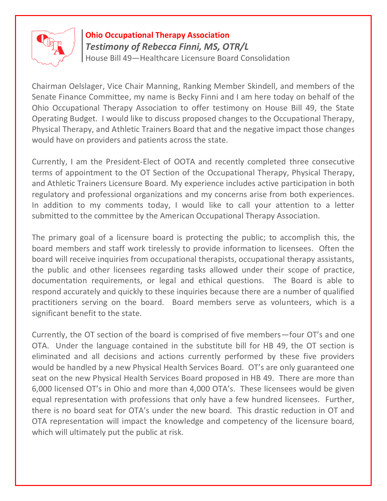

## **Ohio Occupational Therapy Association**  *Testimony of Rebecca Finni, MS, OTR/L* House Bill 49—Healthcare Licensure Board Consolidation

Chairman Oelslager, Vice Chair Manning, Ranking Member Skindell, and members of the Senate Finance Committee, my name is Becky Finni and I am here today on behalf of the Ohio Occupational Therapy Association to offer testimony on House Bill 49, the State Operating Budget. I would like to discuss proposed changes to the Occupational Therapy, Physical Therapy, and Athletic Trainers Board that and the negative impact those changes would have on providers and patients across the state.

Currently, I am the President-Elect of OOTA and recently completed three consecutive terms of appointment to the OT Section of the Occupational Therapy, Physical Therapy, and Athletic Trainers Licensure Board. My experience includes active participation in both regulatory and professional organizations and my concerns arise from both experiences. In addition to my comments today, I would like to call your attention to a letter submitted to the committee by the American Occupational Therapy Association.

The primary goal of a licensure board is protecting the public; to accomplish this, the board members and staff work tirelessly to provide information to licensees. Often the board will receive inquiries from occupational therapists, occupational therapy assistants, the public and other licensees regarding tasks allowed under their scope of practice, documentation requirements, or legal and ethical questions. The Board is able to respond accurately and quickly to these inquiries because there are a number of qualified practitioners serving on the board. Board members serve as volunteers, which is a significant benefit to the state.

Currently, the OT section of the board is comprised of five members—four OT's and one OTA. Under the language contained in the substitute bill for HB 49, the OT section is eliminated and all decisions and actions currently performed by these five providers would be handled by a new Physical Health Services Board. OT's are only guaranteed one seat on the new Physical Health Services Board proposed in HB 49. There are more than 6,000 licensed OT's in Ohio and more than 4,000 OTA's. These licensees would be given equal representation with professions that only have a few hundred licensees. Further, there is no board seat for OTA's under the new board. This drastic reduction in OT and OTA representation will impact the knowledge and competency of the licensure board, which will ultimately put the public at risk.